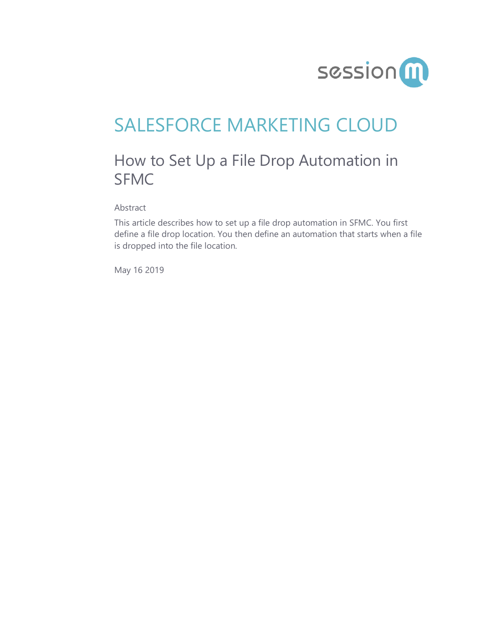

# SALESFORCE MARKETING CLOUD

## How to Set Up a File Drop Automation in SFMC

Abstract

This article describes how to set up a file drop automation in SFMC. You first define a file drop location. You then define an automation that starts when a file is dropped into the file location.

May 16 2019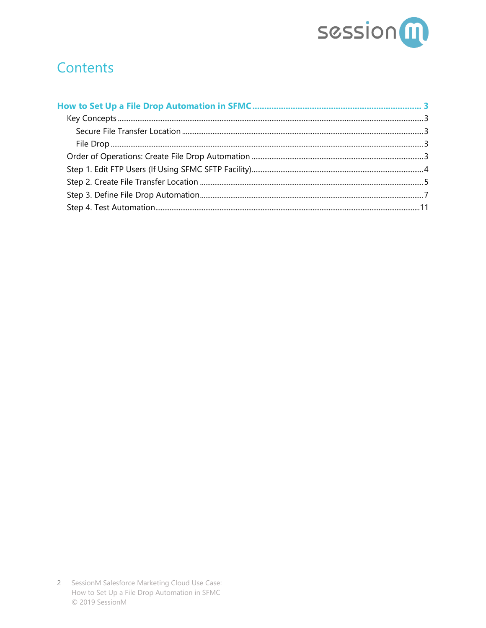

#### **Contents**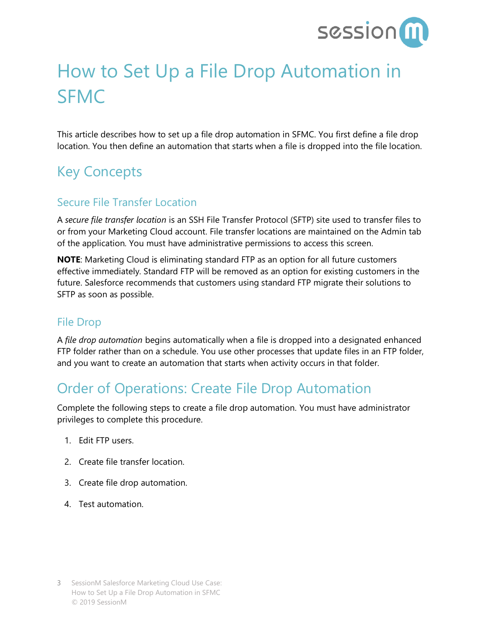

# <span id="page-2-0"></span>How to Set Up a File Drop Automation in SFMC

This article describes how to set up a file drop automation in SFMC. You first define a file drop location. You then define an automation that starts when a file is dropped into the file location.

## <span id="page-2-1"></span>Key Concepts

#### <span id="page-2-2"></span>Secure File Transfer Location

A *secure file transfer location* is an SSH File Transfer Protocol (SFTP) site used to transfer files to or from your Marketing Cloud account. File transfer locations are maintained on the Admin tab of the application. You must have administrative permissions to access this screen.

**NOTE**: Marketing Cloud is eliminating standard FTP as an option for all future customers effective immediately. Standard FTP will be removed as an option for existing customers in the future. Salesforce recommends that customers using standard FTP migrate their solutions to SFTP as soon as possible.

#### <span id="page-2-3"></span>File Drop

A *file drop automation* begins automatically when a file is dropped into a designated enhanced FTP folder rather than on a schedule. You use other processes that update files in an FTP folder, and you want to create an automation that starts when activity occurs in that folder.

#### <span id="page-2-4"></span>Order of Operations: Create File Drop Automation

Complete the following steps to create a file drop automation. You must have administrator privileges to complete this procedure.

- 1. Edit FTP users.
- 2. Create file transfer location.
- 3. Create file drop automation.
- 4. Test automation.

<sup>3</sup> SessionM Salesforce Marketing Cloud Use Case: How to Set Up a File Drop Automation in SFMC © 2019 SessionM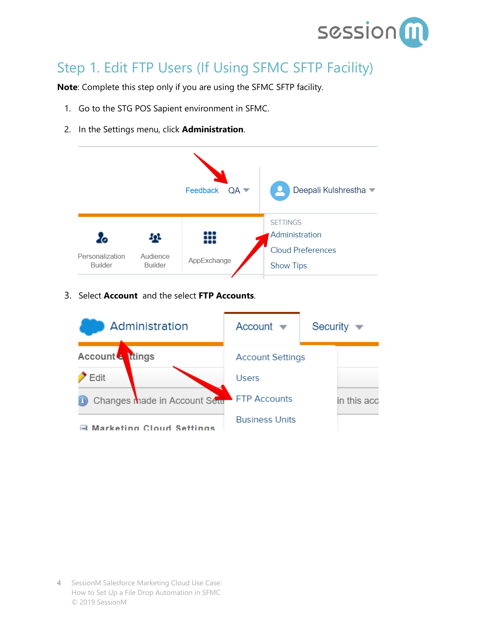

## <span id="page-3-0"></span>Step 1. Edit FTP Users (If Using SFMC SFTP Facility)

**Note**: Complete this step only if you are using the SFMC SFTP facility.

- 1. Go to the STG POS Sapient environment in SFMC.
- 2. In the Settings menu, click **Administration**.



3. Select **Account** and the select **FTP Accounts**.

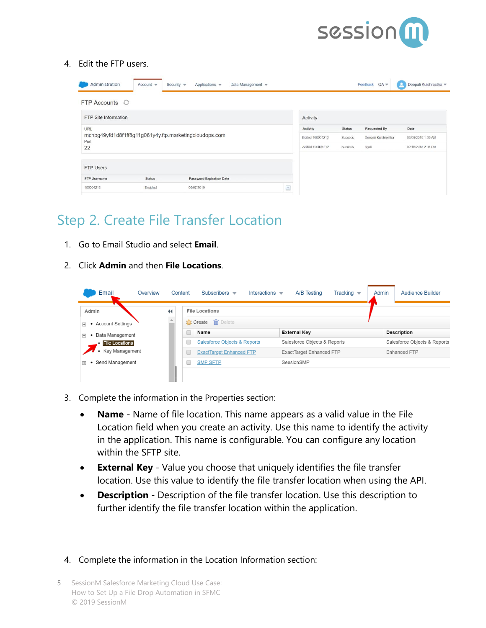

#### 4. Edit the FTP users.

| Administration       | Account $\equiv$ | Security $\mathbf$<br>Data Management w<br>Applications w |                          |                  |               | $QA =$<br>Feedback  | Deepali Kulshrestha<br>o |
|----------------------|------------------|-----------------------------------------------------------|--------------------------|------------------|---------------|---------------------|--------------------------|
| FTP Accounts $\odot$ |                  |                                                           |                          |                  |               |                     |                          |
| FTP Site Information |                  |                                                           |                          | Activity         |               |                     |                          |
| URL                  |                  |                                                           |                          |                  | <b>Status</b> | <b>Requested By</b> | Date                     |
|                      |                  | mcnpg49yfd1d8f1ff8g11g061y4y.ftp.marketingcloudops.com    |                          | Edited 100004212 | Success       | Deepali Kulshrestha | 03/09/2019 1:39 AM       |
| 22                   | Port             |                                                           |                          |                  | Success       | pgali               | 02/16/2018 2.07 PM       |
| <b>FTP Users</b>     |                  |                                                           |                          |                  |               |                     |                          |
| FTP Username         | <b>Status</b>    | <b>Password Expiration Date</b>                           |                          |                  |               |                     |                          |
| 100004212            | Enabled          | 06/07/2019                                                | $\overline{\phantom{a}}$ |                  |               |                     |                          |

#### <span id="page-4-0"></span>Step 2. Create File Transfer Location

- 1. Go to Email Studio and select **Email**.
- 2. Click **Admin** and then **File Locations**.

| Email                                | Overview             | Content | Subscribers $\blacktriangledown$<br>Interactions $\mathbf$ | A/B Testing                     | Tracking $\blacktriangledown$ | Admin | <b>Audience Builder</b>      |
|--------------------------------------|----------------------|---------|------------------------------------------------------------|---------------------------------|-------------------------------|-------|------------------------------|
| Admin                                | $\blacktriangleleft$ |         | <b>File Locations</b>                                      |                                 |                               |       |                              |
| • Account Settings<br>$\overline{+}$ |                      |         | <b>T</b> Create <b>in</b> Delete                           |                                 |                               |       |                              |
| Data Management<br>$\Box$            |                      | $\Box$  | Name                                                       | <b>External Key</b>             |                               |       | <b>Description</b>           |
| <b>File Locations</b>                |                      |         | <b>Salesforce Objects &amp; Reports</b>                    | Salesforce Objects & Reports    |                               |       | Salesforce Objects & Reports |
| • Key Management                     |                      |         | <b>ExactTarget Enhanced FTP</b>                            | <b>ExactTarget Enhanced FTP</b> |                               |       | Enhanced FTP                 |
| Send Management<br>$\overline{+}$    |                      |         | <b>SMP SFTP</b>                                            | SeesionSMP                      |                               |       |                              |
|                                      |                      |         |                                                            |                                 |                               |       |                              |

- 3. Complete the information in the Properties section:
	- **Name** Name of file location. This name appears as a valid value in the File Location field when you create an activity. Use this name to identify the activity in the application. This name is configurable. You can configure any location within the SFTP site.
	- **External Key** Value you choose that uniquely identifies the file transfer location. Use this value to identify the file transfer location when using the API.
	- **Description** Description of the file transfer location. Use this description to further identify the file transfer location within the application.
- 4. Complete the information in the Location Information section:
- 5 SessionM Salesforce Marketing Cloud Use Case: How to Set Up a File Drop Automation in SFMC © 2019 SessionM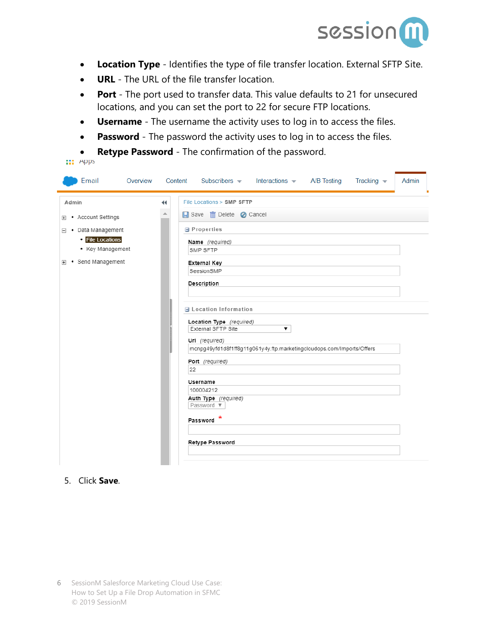

- **Location Type** Identifies the type of file transfer location. External SFTP Site.
- **URL** The URL of the file transfer location.
- **Port** The port used to transfer data. This value defaults to 21 for unsecured locations, and you can set the port to 22 for secure FTP locations.
- **Username** The username the activity uses to log in to access the files.
- **Password** The password the activity uses to log in to access the files.
- **Retype Password** The confirmation of the password.

| Email<br>Overview                                                                                                                                   | Subscribers $\blacksquare$<br>Interactions A/B Testing<br>Tracking $\blacktriangledown$<br>Content                                                                                                                                                                                                                                                                                                                                                                                                          | Admin |
|-----------------------------------------------------------------------------------------------------------------------------------------------------|-------------------------------------------------------------------------------------------------------------------------------------------------------------------------------------------------------------------------------------------------------------------------------------------------------------------------------------------------------------------------------------------------------------------------------------------------------------------------------------------------------------|-------|
| Admin<br><b>E</b> • Account Settings<br>$\Box \bullet$ Data Management<br><b>• File Locations</b><br>• Key Management<br><b>E</b> • Send Management | File Locations > SMP SFTP<br>$\blacktriangleleft$<br>Save <b>m</b> Delete <b>C</b> Cancel<br>∸<br>Properties<br>Name (required)<br>SMP SFTP<br><b>External Key</b><br>SeesionSMP<br>Description<br><b>■ Location Information</b><br>Location Type (required)<br>External SFTP Site<br>▼<br>Url (required)<br>mcnpg49yfd1d8f1ff8g11g061y4y.ftp.marketingcloudops.com/Imports/Offers<br>Port (required)<br>22<br>Username<br>100004212<br>Auth Type (required)<br>Password ▼<br>Password *<br>Retype Password |       |
|                                                                                                                                                     |                                                                                                                                                                                                                                                                                                                                                                                                                                                                                                             |       |

#### 5. Click **Save**.

**III** Apps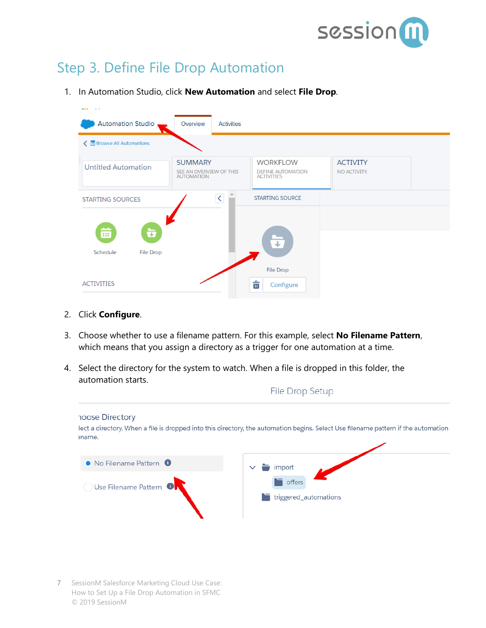

#### <span id="page-6-0"></span>Step 3. Define File Drop Automation

1. In Automation Studio, click **New Automation** and select **File Drop**.

| <b>Automation Studio</b>          | Overview<br><b>Activities</b>                                  |                                                                  |                                 |  |
|-----------------------------------|----------------------------------------------------------------|------------------------------------------------------------------|---------------------------------|--|
| < <b>B</b> Browse All Automations |                                                                |                                                                  |                                 |  |
| <b>Untitled Automation</b>        | <b>SUMMARY</b><br>SEE AN OVERVIEW OF THIS<br><b>AUTOMATION</b> | <b>WORKFLOW</b><br><b>DEFINE AUTOMATION</b><br><b>ACTIVITIES</b> | <b>ACTIVITY</b><br>NO ACTIVITY. |  |
| <b>STARTING SOURCES</b>           | ▲<br>$\vert \langle \vert$                                     | <b>STARTING SOURCE</b>                                           |                                 |  |
| 齒<br>ò                            |                                                                | ∓                                                                |                                 |  |
|                                   |                                                                |                                                                  |                                 |  |
| Schedule<br><b>File Drop</b>      |                                                                | <b>File Drop</b>                                                 |                                 |  |

- 2. Click **Configure**.
- 3. Choose whether to use a filename pattern. For this example, select **No Filename Pattern**, which means that you assign a directory as a trigger for one automation at a time.
- 4. Select the directory for the system to watch. When a file is dropped in this folder, the automation starts.

|                                                                         | i ile prop octup                                                                                                                   |
|-------------------------------------------------------------------------|------------------------------------------------------------------------------------------------------------------------------------|
| hoose Directory<br>ename.                                               | lect a directory. When a file is dropped into this directory, the automation begins. Select Use filename pattern if the automation |
| • No Filename Pattern <sup>6</sup><br>Use Filename Pattern <sup>0</sup> | import<br>T.<br>offers<br>triggered_automations                                                                                    |

File Dron Setun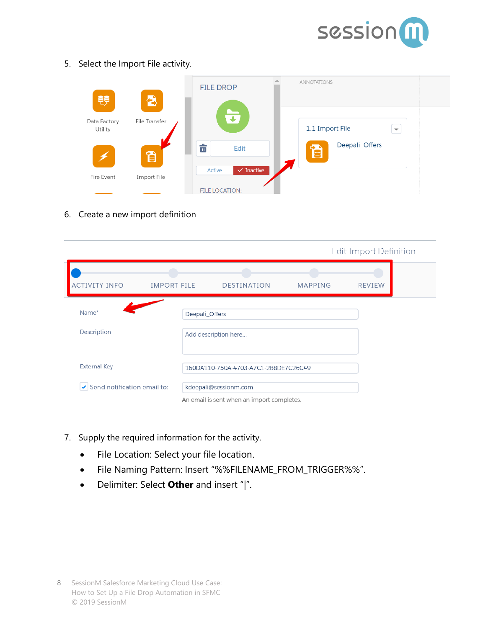

5. Select the Import File activity.

| W                       | Ð             | <b>FILE DROP</b>                | <b>ANNOTATIONS</b>                          |
|-------------------------|---------------|---------------------------------|---------------------------------------------|
| Data Factory<br>Utility | File Transfer | $\overline{\mathbf{4}}$         | 1.1 Import File<br>$\overline{\phantom{m}}$ |
|                         | đ             | ठे<br>Edit                      | Deepali_Offers<br>═                         |
| Fire Event              | Import File   | $\checkmark$ Inactive<br>Active |                                             |
|                         |               | <b>FILE LOCATION:</b>           |                                             |

6. Create a new import definition

|                                                   |                    |                                            | Edit Import Definition |               |  |  |
|---------------------------------------------------|--------------------|--------------------------------------------|------------------------|---------------|--|--|
| <b>ACTIVITY INFO</b>                              | <b>IMPORT FILE</b> | <b>DESTINATION</b>                         | <b>MAPPING</b>         | <b>REVIEW</b> |  |  |
| Name*                                             | Deepali_Offers     |                                            |                        |               |  |  |
| Description                                       |                    | Add description here                       |                        |               |  |  |
| <b>External Key</b>                               |                    | 160DA110-750A-4703-A7C1-2B8DE7C26C49       |                        |               |  |  |
| $\blacktriangleright$ Send notification email to: |                    | kdeepali@sessionm.com                      |                        |               |  |  |
|                                                   |                    | An email is sent when an import completes. |                        |               |  |  |

- 7. Supply the required information for the activity.
	- File Location: Select your file location.
	- File Naming Pattern: Insert "%%FILENAME\_FROM\_TRIGGER%%".
	- Delimiter: Select **Other** and insert "|".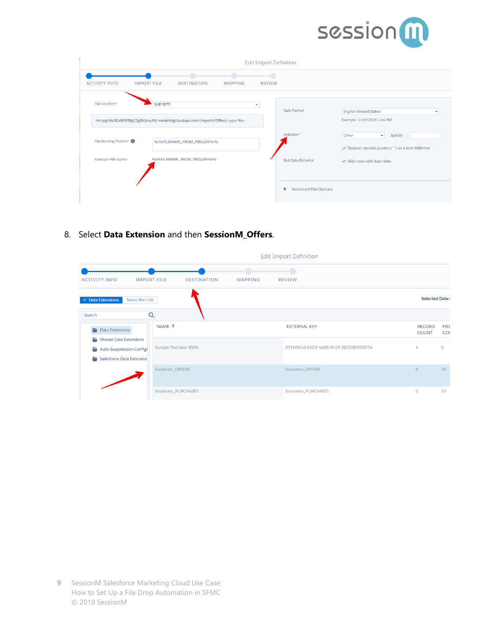

| Edit Import Definition            |                                                                                                                 |                              |        |                                   |                                                                                 |  |  |
|-----------------------------------|-----------------------------------------------------------------------------------------------------------------|------------------------------|--------|-----------------------------------|---------------------------------------------------------------------------------|--|--|
| <b>ACTIVITY INFO</b>              | . .<br><b>IMPORT FILE</b><br>DESTINATION                                                                        | $\sqrt{2}$<br><b>MAPPING</b> | REVIEW |                                   |                                                                                 |  |  |
| File Location*                    | <b>SMP SFTP</b><br>mcnpg49yfd1d8f1ff8g11g061y4y.ftp.marketingcloudops.com/Imports/Offers/ <your file=""></your> | ٠                            |        | Date Format                       | English (United States)<br>Example: 1/19/2016 1:44 PM                           |  |  |
| File Naming Pattern* <sup>O</sup> | %%FILENAME_FROM_TRIGGER%%                                                                                       |                              |        | Delimiter*                        | Specify:<br>Other<br>$\star$<br>◆ Respect double quotes (") as a text delimiter |  |  |
| Example File Name:                | %%FILENAME_FROM_TRIGGER%%                                                                                       |                              |        | <b>Bad Data Behavior</b>          | Skip rows with bad data                                                         |  |  |
|                                   |                                                                                                                 |                              |        | <b>Advanced File Options</b><br>Þ |                                                                                 |  |  |

8. Select **Data Extension** and then **SessionM\_Offers**.

|                                                  |                       |         | Edit Import Definition               |                        |             |
|--------------------------------------------------|-----------------------|---------|--------------------------------------|------------------------|-------------|
| <b>IMPORT FILE</b><br><b>ACTIVITY INFO</b>       | DESTINATION           | MAPPING | REVIEW                               |                        |             |
| <b>Subscriber List</b><br>$\vee$ Data Extensions |                       |         |                                      | <b>Selected Data I</b> |             |
| Q<br>Search                                      |                       |         |                                      |                        |             |
| $\rightarrow$ Data Extensions                    | NAME <sup>1</sup>     |         | <b>EXTERNAL KEY</b>                  | <b>RECORD</b><br>COUNT | FIEL<br>COL |
| Shared Data Extensions                           |                       |         |                                      |                        |             |
| Auto-Suppression Configu                         | Sample Test User JSON |         | 321ADC43-EAD1-4608-9419-282D3D203D7A | $\angle$               | 5           |
| Salesforce Data Extension                        |                       |         |                                      |                        |             |
|                                                  | Sessionm_OFFERS       |         | Sessionm_OFFERS                      | $\Omega$               | 16          |
|                                                  | Sessionm_PURCHASES    |         | Sessionm_PURCHASES                   | $\circ$                | 15          |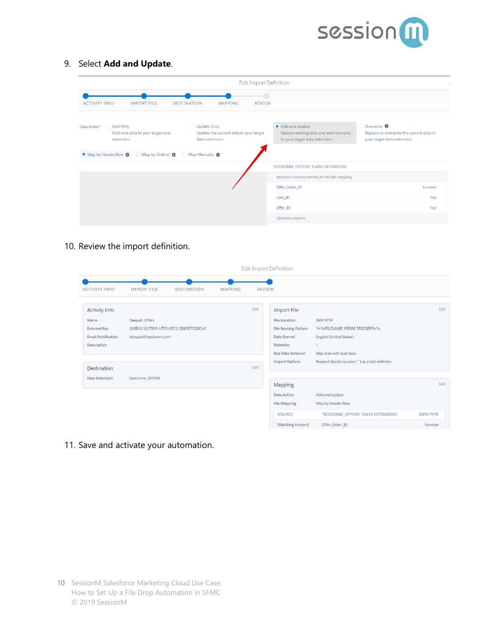

9. Select **Add and Update**.

|                                                                                                                                    | <b>Edit Import Definition</b>                                            |                                                                                           |                                                                                                   |
|------------------------------------------------------------------------------------------------------------------------------------|--------------------------------------------------------------------------|-------------------------------------------------------------------------------------------|---------------------------------------------------------------------------------------------------|
| <b>ACTIVITY INFO</b><br><b>IMPORT FILE</b><br><b>DESTINATION</b>                                                                   | $\Box$<br><b>MAPPING</b><br><b>REVIEW</b>                                |                                                                                           |                                                                                                   |
| Add Only<br>Data Action*<br>Add new data to your target data<br>extension.<br>Map by Header Row<br>Map by Ordinal @ Map Manually @ | Update Only<br>Update the current data in your target<br>data extension. | Add and Update<br>Update existing data and add new data<br>to your target data extension. | Overwrite <sup>O</sup><br>Replace or overwrite the current data in<br>your target data extension. |
|                                                                                                                                    |                                                                          | "SESSIONM_OFFERS" (DATA EXTENSION)                                                        |                                                                                                   |
|                                                                                                                                    |                                                                          | Required columns needed for this file mapping                                             |                                                                                                   |
|                                                                                                                                    |                                                                          | Offer_Order_ID                                                                            | Number                                                                                            |
|                                                                                                                                    |                                                                          | User_ID                                                                                   | Text                                                                                              |
|                                                                                                                                    |                                                                          | Offer_ID                                                                                  | Text                                                                                              |
|                                                                                                                                    |                                                                          | Optional columns                                                                          |                                                                                                   |

10. Review the import definition.

| Edit Import Definition                                                                                         |                                                                                 |                    |         |               |                                                                                                                                                           |                                                                                                                                                     |                            |
|----------------------------------------------------------------------------------------------------------------|---------------------------------------------------------------------------------|--------------------|---------|---------------|-----------------------------------------------------------------------------------------------------------------------------------------------------------|-----------------------------------------------------------------------------------------------------------------------------------------------------|----------------------------|
| <b>ACTIVITY INFO</b>                                                                                           | <b>IMPORT FILE</b>                                                              | <b>DESTINATION</b> | MAPPING | <b>REVIEW</b> |                                                                                                                                                           |                                                                                                                                                     |                            |
| <b>Activity Info</b><br>Name<br><b>External Key</b><br><b>Email Notification</b><br>Description<br>Destination | Deepali_Offers<br>160DA110-750A-4703-A7C1-2B8DE7C26C49<br>kdeepali@sessionm.com |                    |         | Edit<br>Edit  | <b>Import File</b><br><b>File Location</b><br><b>File Naming Pattern</b><br>Date Format<br>Delimiter<br><b>Bad Data Behavior</b><br><b>Import Options</b> | <b>SMP SFTP</b><br>%%FILENAME_FROM_TRIGGER%%<br>English (United States)<br>Skip rows with bad data<br>Respect double quotes (") as a text delimiter | Edit                       |
| Data Extension                                                                                                 | Sessionm_OFFERS                                                                 |                    |         |               | Mapping<br>Data Action                                                                                                                                    | Add and Update                                                                                                                                      | Edit                       |
|                                                                                                                |                                                                                 |                    |         |               | <b>File Mapping</b><br><b>SOURCE</b><br>[Matching Header]                                                                                                 | Map by Header Row<br>"SESSIONM_OFFERS" (DATA EXTENSION)<br>Offer_Order_ID                                                                           | <b>DATA TYPE</b><br>Number |

11. Save and activate your automation.